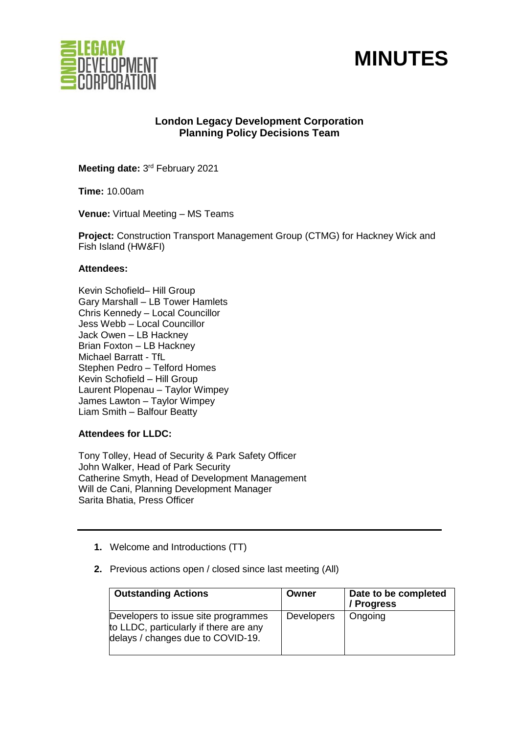



# **London Legacy Development Corporation Planning Policy Decisions Team**

Meeting date: 3<sup>rd</sup> February 2021

**Time:** 10.00am

**Venue:** Virtual Meeting – MS Teams

**Project:** Construction Transport Management Group (CTMG) for Hackney Wick and Fish Island (HW&FI)

## **Attendees:**

Kevin Schofield– Hill Group Gary Marshall – LB Tower Hamlets Chris Kennedy – Local Councillor Jess Webb – Local Councillor Jack Owen – LB Hackney Brian Foxton – LB Hackney Michael Barratt - TfL Stephen Pedro – Telford Homes Kevin Schofield – Hill Group Laurent Plopenau – Taylor Wimpey James Lawton – Taylor Wimpey Liam Smith – Balfour Beatty

# **Attendees for LLDC:**

Tony Tolley, Head of Security & Park Safety Officer John Walker, Head of Park Security Catherine Smyth, Head of Development Management Will de Cani, Planning Development Manager Sarita Bhatia, Press Officer

- **1.** Welcome and Introductions (TT)
- **2.** Previous actions open / closed since last meeting (All)

| <b>Outstanding Actions</b>                                                                                         | Owner             | Date to be completed<br>/ Progress |
|--------------------------------------------------------------------------------------------------------------------|-------------------|------------------------------------|
| Developers to issue site programmes<br>to LLDC, particularly if there are any<br>delays / changes due to COVID-19. | <b>Developers</b> | Ongoing                            |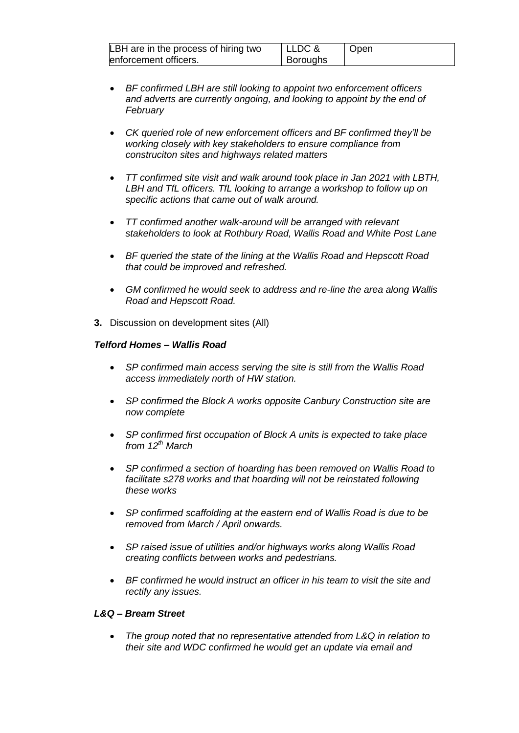| LBH are in the process of hiring two | LLDC &          | Open |
|--------------------------------------|-----------------|------|
| enforcement officers.                | <b>Boroughs</b> |      |

- *BF confirmed LBH are still looking to appoint two enforcement officers and adverts are currently ongoing, and looking to appoint by the end of February*
- *CK queried role of new enforcement officers and BF confirmed they'll be working closely with key stakeholders to ensure compliance from construciton sites and highways related matters*
- *TT confirmed site visit and walk around took place in Jan 2021 with LBTH, LBH and TfL officers. TfL looking to arrange a workshop to follow up on specific actions that came out of walk around.*
- *TT confirmed another walk-around will be arranged with relevant stakeholders to look at Rothbury Road, Wallis Road and White Post Lane*
- *BF queried the state of the lining at the Wallis Road and Hepscott Road that could be improved and refreshed.*
- *GM confirmed he would seek to address and re-line the area along Wallis Road and Hepscott Road.*
- **3.** Discussion on development sites (All)

## *Telford Homes – Wallis Road*

- *SP confirmed main access serving the site is still from the Wallis Road access immediately north of HW station.*
- *SP confirmed the Block A works opposite Canbury Construction site are now complete*
- *SP confirmed first occupation of Block A units is expected to take place from 12th March*
- *SP confirmed a section of hoarding has been removed on Wallis Road to facilitate s278 works and that hoarding will not be reinstated following these works*
- *SP confirmed scaffolding at the eastern end of Wallis Road is due to be removed from March / April onwards.*
- *SP raised issue of utilities and/or highways works along Wallis Road creating conflicts between works and pedestrians.*
- *BF confirmed he would instruct an officer in his team to visit the site and rectify any issues.*

# *L&Q – Bream Street*

• *The group noted that no representative attended from L&Q in relation to their site and WDC confirmed he would get an update via email and*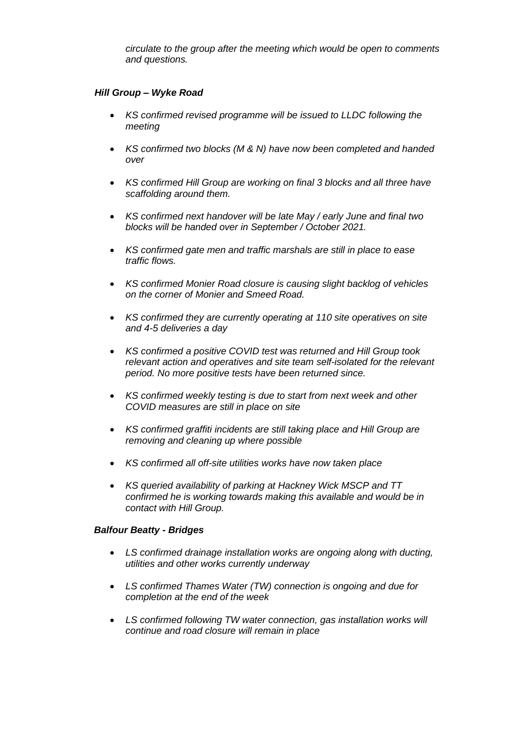*circulate to the group after the meeting which would be open to comments and questions.*

# *Hill Group – Wyke Road*

- *KS confirmed revised programme will be issued to LLDC following the meeting*
- *KS confirmed two blocks (M & N) have now been completed and handed over*
- *KS confirmed Hill Group are working on final 3 blocks and all three have scaffolding around them.*
- *KS confirmed next handover will be late May / early June and final two blocks will be handed over in September / October 2021.*
- *KS confirmed gate men and traffic marshals are still in place to ease traffic flows.*
- *KS confirmed Monier Road closure is causing slight backlog of vehicles on the corner of Monier and Smeed Road.*
- *KS confirmed they are currently operating at 110 site operatives on site and 4-5 deliveries a day*
- *KS confirmed a positive COVID test was returned and Hill Group took relevant action and operatives and site team self-isolated for the relevant period. No more positive tests have been returned since.*
- *KS confirmed weekly testing is due to start from next week and other COVID measures are still in place on site*
- *KS confirmed graffiti incidents are still taking place and Hill Group are removing and cleaning up where possible*
- *KS confirmed all off-site utilities works have now taken place*
- *KS queried availability of parking at Hackney Wick MSCP and TT confirmed he is working towards making this available and would be in contact with Hill Group.*

# *Balfour Beatty - Bridges*

- *LS confirmed drainage installation works are ongoing along with ducting, utilities and other works currently underway*
- *LS confirmed Thames Water (TW) connection is ongoing and due for completion at the end of the week*
- *LS confirmed following TW water connection, gas installation works will continue and road closure will remain in place*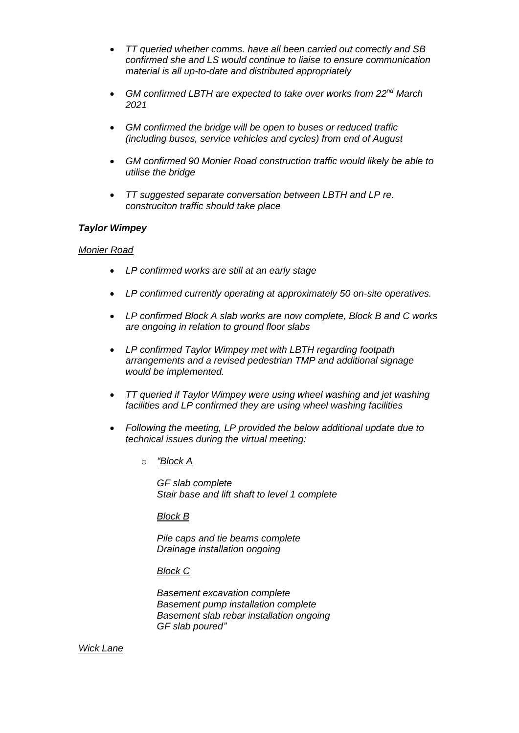- *TT queried whether comms. have all been carried out correctly and SB confirmed she and LS would continue to liaise to ensure communication material is all up-to-date and distributed appropriately*
- *GM confirmed LBTH are expected to take over works from 22nd March 2021*
- *GM confirmed the bridge will be open to buses or reduced traffic (including buses, service vehicles and cycles) from end of August*
- *GM confirmed 90 Monier Road construction traffic would likely be able to utilise the bridge*
- *TT suggested separate conversation between LBTH and LP re. construciton traffic should take place*

## *Taylor Wimpey*

#### *Monier Road*

- *LP confirmed works are still at an early stage*
- *LP confirmed currently operating at approximately 50 on-site operatives.*
- *LP confirmed Block A slab works are now complete, Block B and C works are ongoing in relation to ground floor slabs*
- *LP confirmed Taylor Wimpey met with LBTH regarding footpath arrangements and a revised pedestrian TMP and additional signage would be implemented.*
- *TT queried if Taylor Wimpey were using wheel washing and jet washing facilities and LP confirmed they are using wheel washing facilities*
- *Following the meeting, LP provided the below additional update due to technical issues during the virtual meeting:*
	- o *"Block A*

*GF slab complete Stair base and lift shaft to level 1 complete* 

#### *Block B*

*Pile caps and tie beams complete Drainage installation ongoing* 

#### *Block C*

*Basement excavation complete Basement pump installation complete Basement slab rebar installation ongoing GF slab poured"*

*Wick Lane*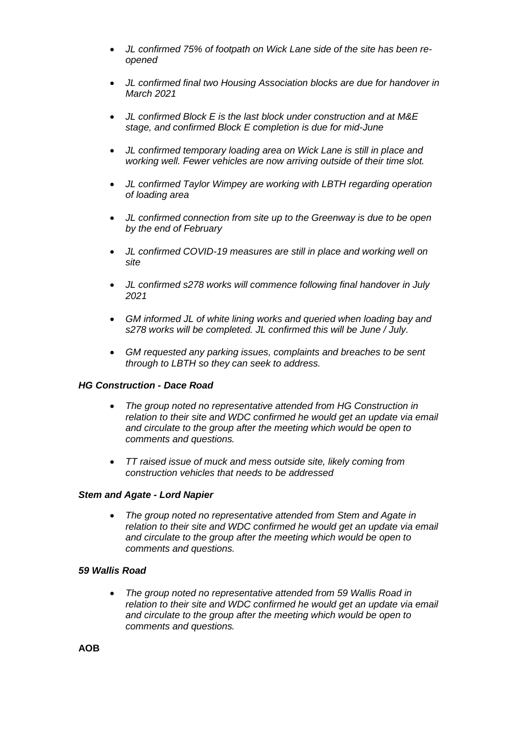- *JL confirmed 75% of footpath on Wick Lane side of the site has been reopened*
- *JL confirmed final two Housing Association blocks are due for handover in March 2021*
- *JL confirmed Block E is the last block under construction and at M&E stage, and confirmed Block E completion is due for mid-June*
- *JL confirmed temporary loading area on Wick Lane is still in place and working well. Fewer vehicles are now arriving outside of their time slot.*
- *JL confirmed Taylor Wimpey are working with LBTH regarding operation of loading area*
- *JL confirmed connection from site up to the Greenway is due to be open by the end of February*
- *JL confirmed COVID-19 measures are still in place and working well on site*
- *JL confirmed s278 works will commence following final handover in July 2021*
- *GM informed JL of white lining works and queried when loading bay and s278 works will be completed. JL confirmed this will be June / July.*
- *GM requested any parking issues, complaints and breaches to be sent through to LBTH so they can seek to address.*

# *HG Construction - Dace Road*

- *The group noted no representative attended from HG Construction in relation to their site and WDC confirmed he would get an update via email and circulate to the group after the meeting which would be open to comments and questions.*
- *TT raised issue of muck and mess outside site, likely coming from construction vehicles that needs to be addressed*

#### *Stem and Agate - Lord Napier*

• *The group noted no representative attended from Stem and Agate in relation to their site and WDC confirmed he would get an update via email and circulate to the group after the meeting which would be open to comments and questions.*

## *59 Wallis Road*

• *The group noted no representative attended from 59 Wallis Road in relation to their site and WDC confirmed he would get an update via email and circulate to the group after the meeting which would be open to comments and questions.*

**AOB**